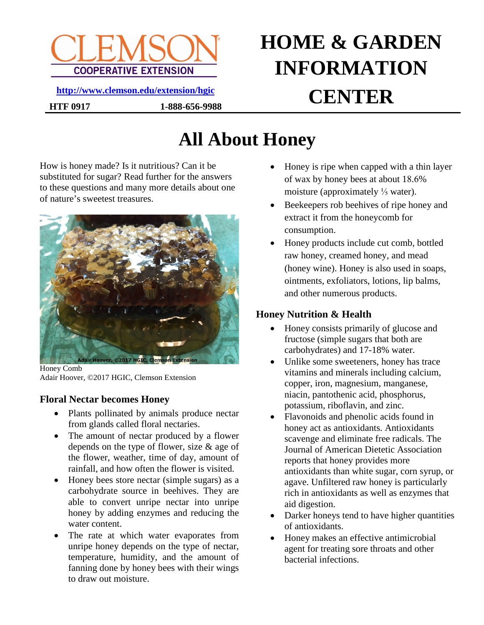

**HTF 0917 1-888-656-9988**

# **HOME & GARDEN INFORMATION CENTER <http://www.clemson.edu/extension/hgic>**

## **All About Honey**

How is honey made? Is it nutritious? Can it be substituted for sugar? Read further for the answers to these questions and many more details about one of nature's sweetest treasures.



Honey Comb Adair Hoover, ©2017 HGIC, Clemson Extension

#### **Floral Nectar becomes Honey**

- Plants pollinated by animals produce nectar from glands called floral nectaries.
- The amount of nectar produced by a flower depends on the type of flower, size & age of the flower, weather, time of day, amount of rainfall, and how often the flower is visited.
- Honey bees store nectar (simple sugars) as a carbohydrate source in beehives. They are able to convert unripe nectar into unripe honey by adding enzymes and reducing the water content.
- The rate at which water evaporates from unripe honey depends on the type of nectar, temperature, humidity, and the amount of fanning done by honey bees with their wings to draw out moisture.
- Honey is ripe when capped with a thin layer of wax by honey bees at about 18.6% moisture (approximately  $\frac{1}{5}$  water).
- Beekeepers rob beehives of ripe honey and extract it from the honeycomb for consumption.
- Honey products include cut comb, bottled raw honey, creamed honey, and mead (honey wine). Honey is also used in soaps, ointments, exfoliators, lotions, lip balms, and other numerous products.

### **Honey Nutrition & Health**

- Honey consists primarily of glucose and fructose (simple sugars that both are carbohydrates) and 17-18% water.
- Unlike some sweeteners, honey has trace vitamins and minerals including calcium, copper, iron, magnesium, manganese, niacin, pantothenic acid, phosphorus, potassium, riboflavin, and zinc.
- Flavonoids and phenolic acids found in honey act as antioxidants. Antioxidants scavenge and eliminate free radicals. The Journal of American Dietetic Association reports that honey provides more antioxidants than white sugar, corn syrup, or agave. Unfiltered raw honey is particularly rich in antioxidants as well as enzymes that aid digestion.
- Darker honeys tend to have higher quantities of antioxidants.
- Honey makes an effective antimicrobial agent for treating sore throats and other bacterial infections.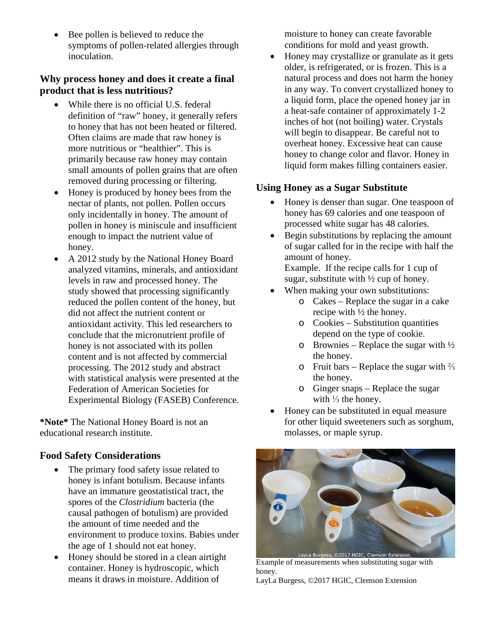Bee pollen is believed to reduce the symptoms of pollen-related allergies through inoculation.

#### **Why process honey and does it create a final product that is less nutritious?**

- While there is no official U.S. federal definition of "raw" honey, it generally refers to honey that has not been heated or filtered. Often claims are made that raw honey is more nutritious or "healthier". This is primarily because raw honey may contain small amounts of pollen grains that are often removed during processing or filtering.
- Honey is produced by honey bees from the nectar of plants, not pollen. Pollen occurs only incidentally in honey. The amount of pollen in honey is miniscule and insufficient enough to impact the nutrient value of honey.
- A 2012 study by the National Honey Board analyzed vitamins, minerals, and antioxidant levels in raw and processed honey. The study showed that processing significantly reduced the pollen content of the honey, but did not affect the nutrient content or antioxidant activity. This led researchers to conclude that the micronutrient profile of honey is not associated with its pollen content and is not affected by commercial processing. The 2012 study and abstract with statistical analysis were presented at the Federation of American Societies for Experimental Biology (FASEB) Conference.

**\*Note\*** The National Honey Board is not an educational research institute.

#### **Food Safety Considerations**

- The primary food safety issue related to honey is infant botulism. Because infants have an immature geostatistical tract, the spores of the *Clostridium* bacteria (the causal pathogen of botulism) are provided the amount of time needed and the environment to produce toxins. Babies under the age of 1 should not eat honey.
- Honey should be stored in a clean airtight container. Honey is hydroscopic, which means it draws in moisture. Addition of

moisture to honey can create favorable conditions for mold and yeast growth.

• Honey may crystallize or granulate as it gets older, is refrigerated, or is frozen. This is a natural process and does not harm the honey in any way. To convert crystallized honey to a liquid form, place the opened honey jar in a heat-safe container of approximately 1-2 inches of hot (not boiling) water. Crystals will begin to disappear. Be careful not to overheat honey. Excessive heat can cause honey to change color and flavor. Honey in liquid form makes filling containers easier.

#### **Using Honey as a Sugar Substitute**

- Honey is denser than sugar. One teaspoon of honey has 69 calories and one teaspoon of processed white sugar has 48 calories.
- Begin substitutions by replacing the amount of sugar called for in the recipe with half the amount of honey.

Example. If the recipe calls for 1 cup of sugar, substitute with  $\frac{1}{2}$  cup of honey.

- When making your own substitutions:
	- o Cakes Replace the sugar in a cake recipe with ½ the honey.
	- o Cookies Substitution quantities depend on the type of cookie.
	- o Brownies Replace the sugar with  $\frac{1}{2}$ the honey.
	- o Fruit bars Replace the sugar with ⅔ the honey.
	- o Ginger snaps Replace the sugar with  $\frac{1}{3}$  the honey.
- Honey can be substituted in equal measure for other liquid sweeteners such as sorghum, molasses, or maple syrup.



Example of measurements when substituting sugar with honey.

LayLa Burgess, ©2017 HGIC, Clemson Extension